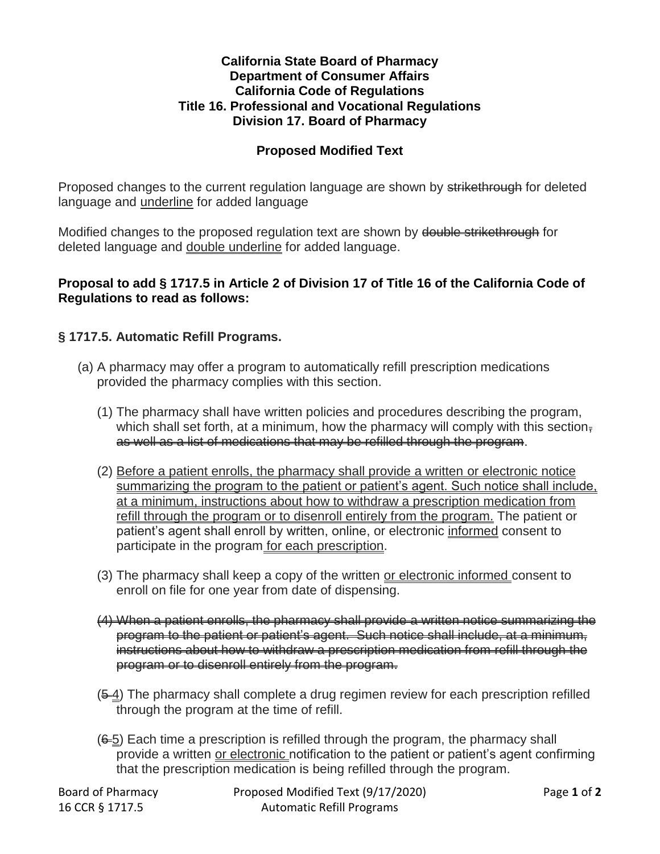## **California State Board of Pharmacy Department of Consumer Affairs California Code of Regulations Title 16. Professional and Vocational Regulations Division 17. Board of Pharmacy**

## **Proposed Modified Text**

Proposed changes to the current regulation language are shown by strikethrough for deleted language and underline for added language

Modified changes to the proposed regulation text are shown by double strikethrough for deleted language and double underline for added language.

## **Proposal to add § 1717.5 in Article 2 of Division 17 of Title 16 of the California Code of Regulations to read as follows:**

## **§ 1717.5. Automatic Refill Programs.**

- (a) A pharmacy may offer a program to automatically refill prescription medications provided the pharmacy complies with this section.
	- (1) The pharmacy shall have written policies and procedures describing the program, which shall set forth, at a minimum, how the pharmacy will comply with this section, as well as a list of medications that may be refilled through the program.
	- (2) Before a patient enrolls, the pharmacy shall provide a written or electronic notice summarizing the program to the patient or patient's agent. Such notice shall include, at a minimum, instructions about how to withdraw a prescription medication from refill through the program or to disenroll entirely from the program. The patient or patient's agent shall enroll by written, online, or electronic informed consent to participate in the program for each prescription.
	- (3) The pharmacy shall keep a copy of the written or electronic informed consent to enroll on file for one year from date of dispensing.
	- (4) When a patient enrolls, the pharmacy shall provide a written notice summarizing the program to the patient or patient's agent. Such notice shall include, at a minimum, instructions about how to withdraw a prescription medication from refill through the program or to disenroll entirely from the program.
	- $(5-4)$  The pharmacy shall complete a drug regimen review for each prescription refilled through the program at the time of refill.
	- $(6-5)$  Each time a prescription is refilled through the program, the pharmacy shall provide a written or electronic notification to the patient or patient's agent confirming that the prescription medication is being refilled through the program.